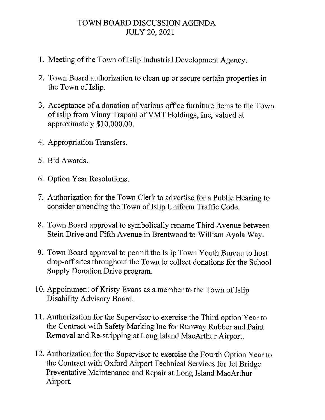## TOWN BOARD DISCUSSION AGENDA JULY 20, 2021

- 1. Meeting of the Town of Islip Industrial Development Agency.
- 2. Town Board authorization to clean up or secure certain properties in the Town of Islip.
- 3. Acceptance of a donation of various office furniture items to the Town of Islip from Vinny Trapani ofVMT Holdings, Inc, valued at approximately \$10,000.00.
- 4. Appropriation Transfers.
- 5. Bid Awards.
- 6. Option Year Resolutions.
- 7. Authorization for the Town Clerk to advertise for a Public Hearing to consider amending the Town of Islip Uniform Traffic Code.
- 8. Town Board approval to symbolically rename Third A venue between Stein Drive and Fifth Avenue in Brentwood to William Ayala Way.
- 9. Town Board approval to permit the Islip Town Youth Bureau to host drop-off sites throughout the Town to collect donations for the School Supply Donation Drive program.
- 10. Appointment of Kristy Evans as a member to the Town of Islip Disability Advisory Board.
- 11. Authorization for the Supervisor to exercise the Third option Year to the Contract with Safety Marking Inc for Runway Rubber and Paint Removal and Re-stripping at Long Island MacArthur Airport.
- 12. Authorization for the Supervisor to exercise the Fourth Option Year to the Contract with Oxford Airport Technical Services for Jet Bridge Preventative Maintenance and Repair at Long Island MacArthur Airport.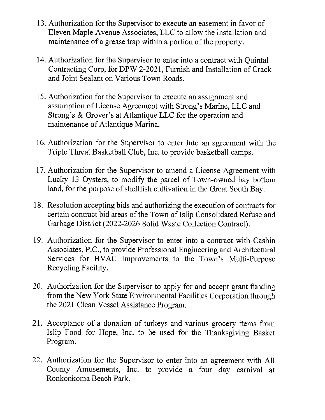- 13. Authorization for the Supervisor to execute an easement in favor of Eleven Maple A venue Associates, LLC to allow the installation and maintenance of a grease trap within a portion of the property.
- 14. Authorization for the Supervisor to enter into a contract with Quintal Contracting Corp, for DPW 2-2021, Furnish and Installation of Crack and Joint Sealant on Various Town Roads.
- 15. Authorization for the Supervisor to execute an assignment and assumption of License Agreement with Strong's Marine, LLC and Strong's & Grover's at Atlantique LLC for the operation and maintenance of Atlantique Marina.
- 16. Authorization for the Supervisor to enter into an agreement with the Triple Threat Basketball Club, Inc. to provide basketball camps.
- 17. Authorization for the Supervisor to amend a License Agreement with Lucky 13 Oysters, to modify the parcel of Town-owned bay bottom land, for the purpose of shellfish cultivation in the Great South Bay.
- 18. Resolution accepting bids and authorizing the execution of contracts for certain contract bid areas of the Town of Islip Consolidated Refuse and Garbage District (2022-2026 Solid Waste Collection Contract).
- 19. Authorization for the Supervisor to enter into a contract with Cashin Associates, P.C., to provide Professional Engineering and Architectural Services for HVAC Improvements to the Town's Multi-Purpose Recycling Facility.
- 20. Authorization for the Supervisor to apply for and accept grant funding from the New York State Environmental Facilities Corporation through the 2021 Clean Vessel Assistance Program.
- 21. Acceptance of a donation of turkeys and various grocery items from Islip Food for Hope, Inc. to be used for the Thanksgiving Basket Program.
- 22. Authorization for the Supervisor to enter into an agreement with All County Amusements, Inc. to provide a four day carnival at Ronkonkoma Beach Park.